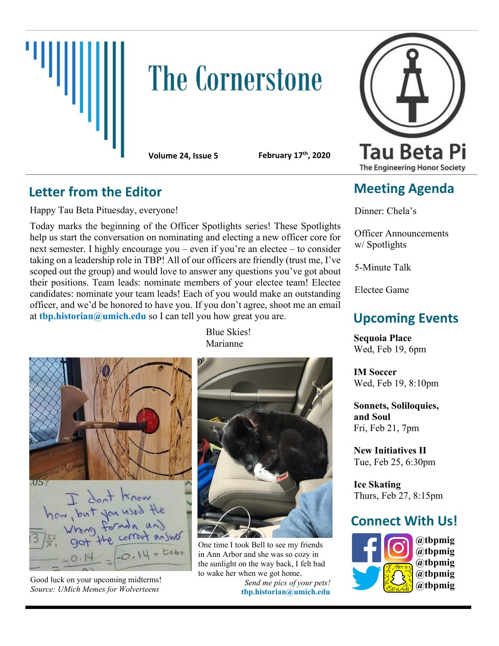

# **The Cornerstone**

**Volume 24, Issue 5 February 17th, 2020**

### **Letter from the Editor**

Happy Tau Beta Pituesday, everyone!

Today marks the beginning of the Officer Spotlights series! These Spotlights help us start the conversation on nominating and electing a new officer core for next semester. I highly encourage you – even if you're an electee – to consider taking on a leadership role in TBP! All of our officers are friendly (trust me, I've scoped out the group) and would love to answer any questions you've got about their positions. Team leads: nominate members of your electee team! Electee candidates: nominate your team leads! Each of you would make an outstanding officer, and we'd be honored to have you. If you don't agree, shoot me an email at **thp.historian@umich.edu** so I can tell you how great you are.

Blue Skies! Marianne

 $.05<sub>k</sub>$ haw, but you used the<br>haw, but you used the  $0.14 =$ 

Good luck on your upcoming midterms! *Source: UMich Memes for Wolverteens*



One time I took Bell to see my friends in Ann Arbor and she was so cozy in the sunlight on the way back, I felt bad to wake her when we got home.

*Send me pics of your pets!* **tbp.historian@umich.edu**



## **Meeting Agenda**

Dinner: Chela's

Officer Announcements w/ Spotlights

5-Minute Talk

Electee Game

# **Upcoming Events**

**Sequoia Place** Wed, Feb 19, 6pm

**IM Soccer** Wed, Feb 19, 8:10pm

**Sonnets, Soliloquies, and Soul** Fri, Feb 21, 7pm

**New Initiatives II** Tue, Feb 25, 6:30pm

**Ice Skating** Thurs, Feb 27, 8:15pm

## **Connect With Us!**